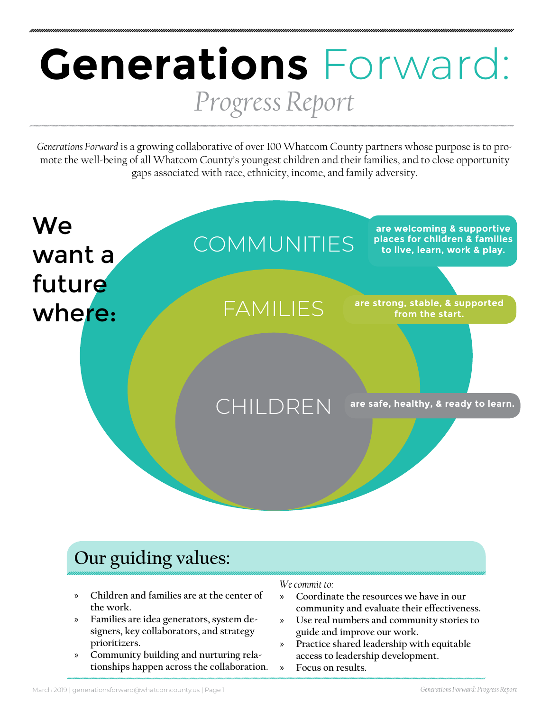# **Generations** Forward: *Progress Report*

*Generations Forward* is a growing collaborative of over 100 Whatcom County partners whose purpose is to promote the well-being of all Whatcom County's youngest children and their families, and to close opportunity gaps associated with race, ethnicity, income, and family adversity.



### **Our guiding values:**

- » **Children and families are at the center of the work.**
- » **Families are idea generators, system designers, key collaborators, and strategy prioritizers.**
- » **Community building and nurturing relationships happen across the collaboration.**

#### *We commit to:*

- » **Coordinate the resources we have in our community and evaluate their effectiveness.**
- » **Use real numbers and community stories to guide and improve our work.**
- » **Practice shared leadership with equitable access to leadership development.**
- » **Focus on results.**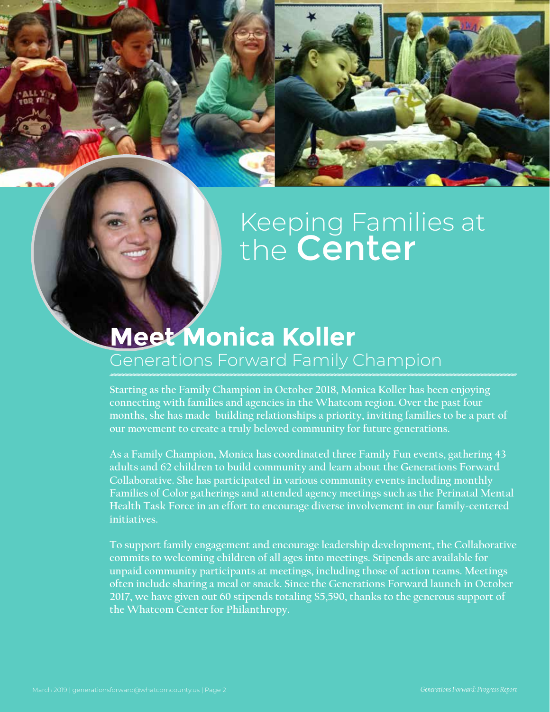## Keeping Families at the **Center**

## **Meet Monica Koller** Generations Forward Family Champion

**Starting as the Family Champion in October 2018, Monica Koller has been enjoying connecting with families and agencies in the Whatcom region. Over the past four months, she has made building relationships a priority, inviting families to be a part of our movement to create a truly beloved community for future generations.**

**As a Family Champion, Monica has coordinated three Family Fun events, gathering 43 adults and 62 children to build community and learn about the Generations Forward Collaborative. She has participated in various community events including monthly Families of Color gatherings and attended agency meetings such as the Perinatal Mental Health Task Force in an effort to encourage diverse involvement in our family-centered initiatives.**

**To support family engagement and encourage leadership development, the Collaborative commits to welcoming children of all ages into meetings. Stipends are available for unpaid community participants at meetings, including those of action teams. Meetings often include sharing a meal or snack. Since the Generations Forward launch in October 2017, we have given out 60 stipends totaling \$5,590, thanks to the generous support of the Whatcom Center for Philanthropy.**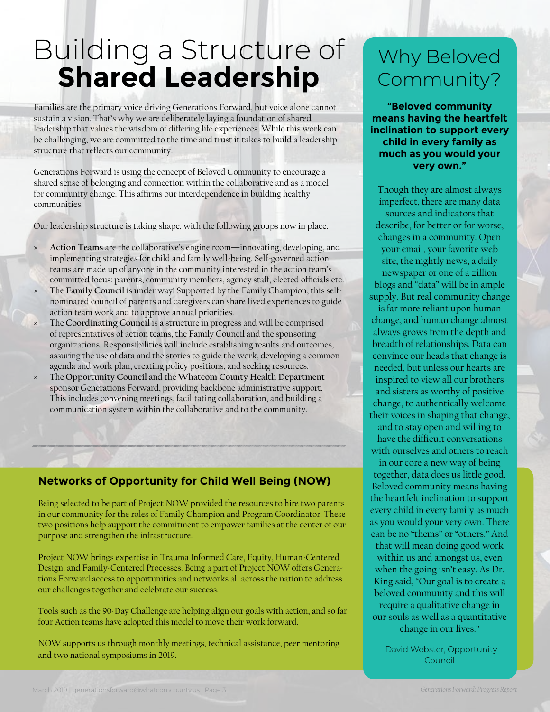## Building a Structure of **Shared Leadership**

Families are the primary voice driving Generations Forward, but voice alone cannot sustain a vision. That's why we are deliberately laying a foundation of shared leadership that values the wisdom of differing life experiences. While this work can be challenging, we are committed to the time and trust it takes to build a leadership structure that reflects our community.

Generations Forward is using the concept of Beloved Community to encourage a shared sense of belonging and connection within the collaborative and as a model for community change. This affirms our interdependence in building healthy communities.

Our leadership structure is taking shape, with the following groups now in place.

- **» Action Teams** are the collaborative's engine room—innovating, developing, and implementing strategies for child and family well-being. Self-governed action teams are made up of anyone in the community interested in the action team's committed focus: parents, community members, agency staff, elected officials etc.
- **»** The **Family Council** is under way! Supported by the Family Champion, this selfnominated council of parents and caregivers can share lived experiences to guide action team work and to approve annual priorities.
- **»** The **Coordinating Council** is a structure in progress and will be comprised of representatives of action teams, the Family Council and the sponsoring organizations. Responsibilities will include establishing results and outcomes, assuring the use of data and the stories to guide the work, developing a common agenda and work plan, creating policy positions, and seeking resources.
- **»** The **Opportunity Council** and the **Whatcom County Health Department**  sponsor Generations Forward, providing backbone administrative support. This includes convening meetings, facilitating collaboration, and building a communication system within the collaborative and to the community.

#### **Networks of Opportunity for Child Well Being (NOW)**

Being selected to be part of Project NOW provided the resources to hire two parents in our community for the roles of Family Champion and Program Coordinator. These two positions help support the commitment to empower families at the center of our purpose and strengthen the infrastructure.

Project NOW brings expertise in Trauma Informed Care, Equity, Human-Centered Design, and Family-Centered Processes. Being a part of Project NOW offers Generations Forward access to opportunities and networks all across the nation to address our challenges together and celebrate our success.

Tools such as the 90-Day Challenge are helping align our goals with action, and so far four Action teams have adopted this model to move their work forward.

NOW supports us through monthly meetings, technical assistance, peer mentoring and two national symposiums in 2019.

## Why Beloved Community?

**"Beloved community means having the heartfelt inclination to support every child in every family as much as you would your very own."**

Though they are almost always imperfect, there are many data sources and indicators that describe, for better or for worse, changes in a community. Open your email, your favorite web site, the nightly news, a daily newspaper or one of a zillion blogs and "data" will be in ample supply. But real community change

is far more reliant upon human change, and human change almost always grows from the depth and breadth of relationships. Data can convince our heads that change is needed, but unless our hearts are inspired to view all our brothers and sisters as worthy of positive change, to authentically welcome their voices in shaping that change,

and to stay open and willing to have the difficult conversations with ourselves and others to reach

in our core a new way of being together, data does us little good. Beloved community means having the heartfelt inclination to support every child in every family as much as you would your very own. There can be no "thems" or "others." And

that will mean doing good work within us and amongst us, even when the going isn't easy. As Dr. King said, "Our goal is to create a beloved community and this will require a qualitative change in our souls as well as a quantitative change in our lives."

-David Webster, Opportunity Council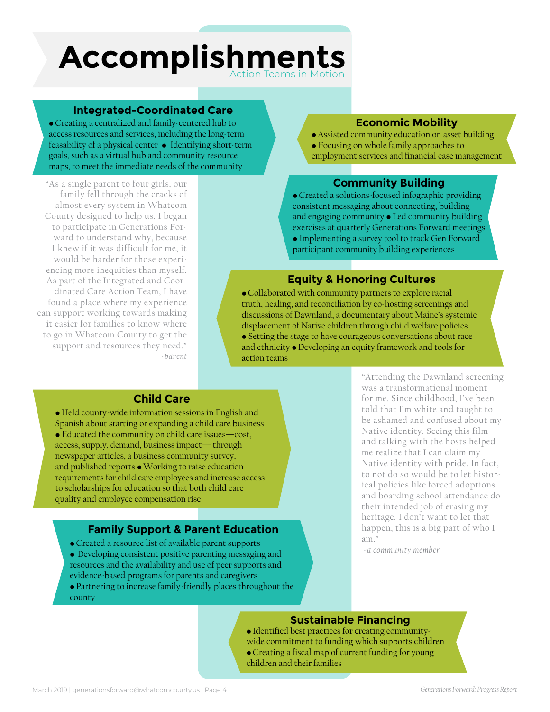### **Accomplishments** ction Teams in Motio

#### **Integrated-Coordinated Care**

• Creating a centralized and family-centered hub to access resources and services, including the long-term feasability of a physical center • Identifying short-term goals, such as a virtual hub and community resource maps, to meet the immediate needs of the community

"As a single parent to four girls, our family fell through the cracks of almost every system in Whatcom County designed to help us. I began to participate in Generations Forward to understand why, because I knew if it was difficult for me, it would be harder for those experiencing more inequities than myself. As part of the Integrated and Coordinated Care Action Team, I have found a place where my experience can support working towards making it easier for families to know where to go in Whatcom County to get the support and resources they need." *-parent* 

#### **Economic Mobility**

• Assisted community education on asset building • Focusing on whole family approaches to employment services and financial case management

#### **Community Building**

• Created a solutions-focused infographic providing consistent messaging about connecting, building and engaging community · Led community building exercises at quarterly Generations Forward meetings • Implementing a survey tool to track Gen Forward participant community building experiences

#### **Equity & Honoring Cultures**

• Collaborated with community partners to explore racial truth, healing, and reconciliation by co-hosting screenings and discussions of Dawnland, a documentary about Maine's systemic displacement of Native children through child welfare policies • Setting the stage to have courageous conversations about race and ethnicity • Developing an equity framework and tools for action teams

#### **Child Care**

• Held county-wide information sessions in English and Spanish about starting or expanding a child care business • Educated the community on child care issues—cost, access, supply, demand, business impact— through newspaper articles, a business community survey, and published reports • Working to raise education requirements for child care employees and increase access to scholarships for education so that both child care quality and employee compensation rise

#### **Family Support & Parent Education**

- Created a resource list of available parent supports
- Developing consistent positive parenting messaging and resources and the availability and use of peer supports and evidence-based programs for parents and caregivers
- Partnering to increase family-friendly places throughout the county

"Attending the Dawnland screening was a transformational moment for me. Since childhood, I've been told that I'm white and taught to be ashamed and confused about my Native identity. Seeing this film and talking with the hosts helped me realize that I can claim my Native identity with pride. In fact, to not do so would be to let historical policies like forced adoptions and boarding school attendance do their intended job of erasing my heritage. I don't want to let that happen, this is a big part of who I am."

*-a community member*

#### **Sustainable Financing**

• Identified best practices for creating communitywide commitment to funding which supports children • Creating a fiscal map of current funding for young children and their families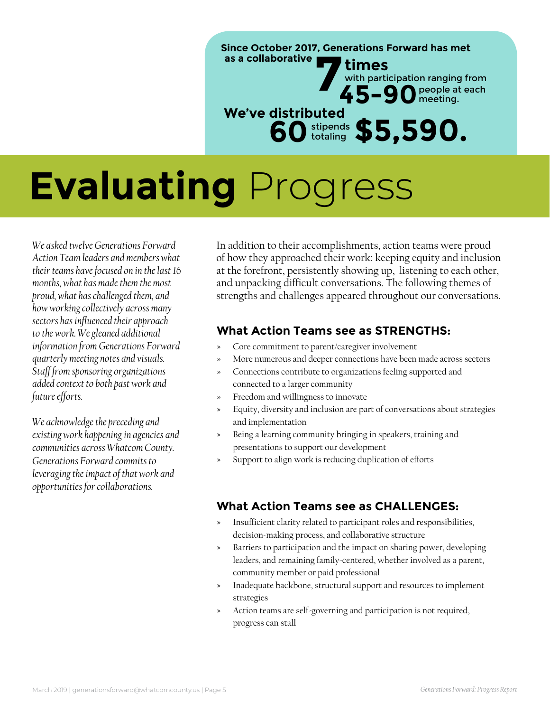**Since October 2017, Generations Forward has met** Times<br>45-9 with participation ranging from **45-90**people at each meeting. **as a collaborative We've distributed 60**stipends totaling **\$5,590.**

# **Evaluating** Progress

*We asked twelve Generations Forward Action Team leaders and members what their teams have focused on in the last 16 months, what has made them the most proud, what has challenged them, and how working collectively across many sectors has influenced their approach to the work. We gleaned additional information from Generations Forward quarterly meeting notes and visuals. Staff from sponsoring organizations added context to both past work and future efforts.* 

*We acknowledge the preceding and existing work happening in agencies and communities across Whatcom County. Generations Forward commits to leveraging the impact of that work and opportunities for collaborations.*

In addition to their accomplishments, action teams were proud of how they approached their work: keeping equity and inclusion at the forefront, persistently showing up, listening to each other, and unpacking difficult conversations. The following themes of strengths and challenges appeared throughout our conversations.

#### **What Action Teams see as STRENGTHS:**

- **»** Core commitment to parent/caregiver involvement
- **»** More numerous and deeper connections have been made across sectors
- **»** Connections contribute to organizations feeling supported and connected to a larger community
- **»** Freedom and willingness to innovate
- **»** Equity, diversity and inclusion are part of conversations about strategies and implementation
- **»** Being a learning community bringing in speakers, training and presentations to support our development
- **»** Support to align work is reducing duplication of efforts

#### **What Action Teams see as CHALLENGES:**

- **»** Insufficient clarity related to participant roles and responsibilities, decision-making process, and collaborative structure
- **»** Barriers to participation and the impact on sharing power, developing leaders, and remaining family-centered, whether involved as a parent, community member or paid professional
- **»** Inadequate backbone, structural support and resources to implement strategies
- **»** Action teams are self-governing and participation is not required, progress can stall